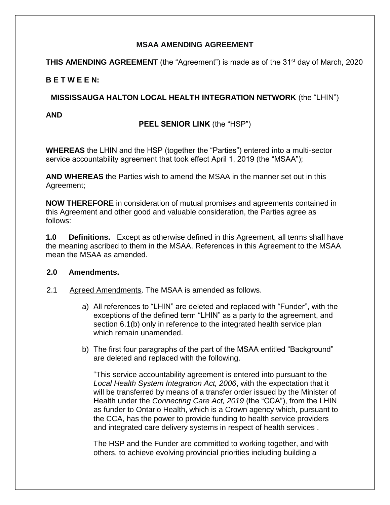# **MSAA AMENDING AGREEMENT**

**THIS AMENDING AGREEMENT** (the "Agreement") is made as of the 31<sup>st</sup> day of March, 2020

# **B E T W E E N:**

# **MISSISSAUGA HALTON LOCAL HEALTH INTEGRATION NETWORK** (the "LHIN")

**AND**

# **PEEL SENIOR LINK** (the "HSP")

**WHEREAS** the LHIN and the HSP (together the "Parties") entered into a multi-sector service accountability agreement that took effect April 1, 2019 (the "MSAA");

**AND WHEREAS** the Parties wish to amend the MSAA in the manner set out in this Agreement;

**NOW THEREFORE** in consideration of mutual promises and agreements contained in this Agreement and other good and valuable consideration, the Parties agree as follows:

**1.0 Definitions.** Except as otherwise defined in this Agreement, all terms shall have the meaning ascribed to them in the MSAA. References in this Agreement to the MSAA mean the MSAA as amended.

## **2.0 Amendments.**

- 2.1 Agreed Amendments. The MSAA is amended as follows.
	- a) All references to "LHIN" are deleted and replaced with "Funder", with the exceptions of the defined term "LHIN" as a party to the agreement, and section 6.1(b) only in reference to the integrated health service plan which remain unamended.
	- b) The first four paragraphs of the part of the MSAA entitled "Background" are deleted and replaced with the following.

"This service accountability agreement is entered into pursuant to the *Local Health System Integration Act, 2006*, with the expectation that it will be transferred by means of a transfer order issued by the Minister of Health under the *Connecting Care Act, 2019* (the "CCA"), from the LHIN as funder to Ontario Health, which is a Crown agency which, pursuant to the CCA, has the power to provide funding to health service providers and integrated care delivery systems in respect of health services .

The HSP and the Funder are committed to working together, and with others, to achieve evolving provincial priorities including building a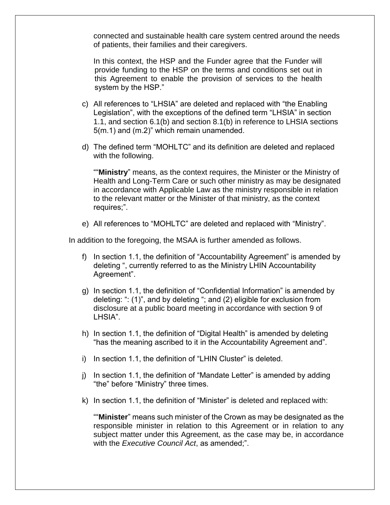connected and sustainable health care system centred around the needs of patients, their families and their caregivers.

In this context, the HSP and the Funder agree that the Funder will provide funding to the HSP on the terms and conditions set out in this Agreement to enable the provision of services to the health system by the HSP."

- c) All references to "LHSIA" are deleted and replaced with "the Enabling Legislation", with the exceptions of the defined term "LHSIA" in section 1.1, and section 6.1(b) and section 8.1(b) in reference to LHSIA sections 5(m.1) and (m.2)" which remain unamended.
- d) The defined term "MOHLTC" and its definition are deleted and replaced with the following.

""**Ministry**" means, as the context requires, the Minister or the Ministry of Health and Long-Term Care or such other ministry as may be designated in accordance with Applicable Law as the ministry responsible in relation to the relevant matter or the Minister of that ministry, as the context requires;".

e) All references to "MOHLTC" are deleted and replaced with "Ministry".

In addition to the foregoing, the MSAA is further amended as follows.

- f) In section 1.1, the definition of "Accountability Agreement" is amended by deleting ", currently referred to as the Ministry LHIN Accountability Agreement".
- g) In section 1.1, the definition of "Confidential Information" is amended by deleting: ": (1)", and by deleting "; and (2) eligible for exclusion from disclosure at a public board meeting in accordance with section 9 of LHSIA".
- h) In section 1.1, the definition of "Digital Health" is amended by deleting "has the meaning ascribed to it in the Accountability Agreement and".
- i) In section 1.1, the definition of "LHIN Cluster" is deleted.
- j) In section 1.1, the definition of "Mandate Letter" is amended by adding "the" before "Ministry" three times.
- k) In section 1.1, the definition of "Minister" is deleted and replaced with:

""**Minister**" means such minister of the Crown as may be designated as the responsible minister in relation to this Agreement or in relation to any subject matter under this Agreement, as the case may be, in accordance with the *Executive Council Act*, as amended;".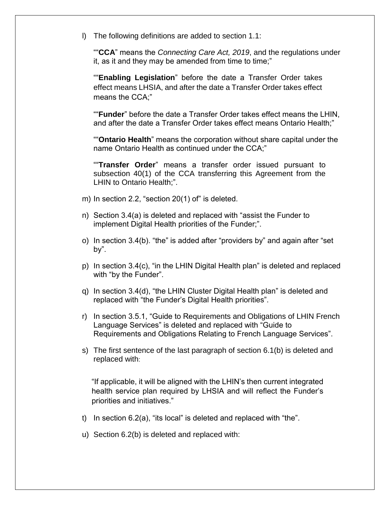l) The following definitions are added to section 1.1:

""**CCA**" means the *Connecting Care Act, 2019*, and the regulations under it, as it and they may be amended from time to time;"

""**Enabling Legislation**" before the date a Transfer Order takes effect means LHSIA, and after the date a Transfer Order takes effect means the CCA;"

""**Funder**" before the date a Transfer Order takes effect means the LHIN, and after the date a Transfer Order takes effect means Ontario Health;"

""**Ontario Health**" means the corporation without share capital under the name Ontario Health as continued under the CCA;"

""**Transfer Order**" means a transfer order issued pursuant to subsection 40(1) of the CCA transferring this Agreement from the LHIN to Ontario Health;".

- m) In section 2.2, "section 20(1) of" is deleted.
- n) Section 3.4(a) is deleted and replaced with "assist the Funder to implement Digital Health priorities of the Funder;".
- o) In section 3.4(b). "the" is added after "providers by" and again after "set by".
- p) In section 3.4(c), "in the LHIN Digital Health plan" is deleted and replaced with "by the Funder".
- q) In section 3.4(d), "the LHIN Cluster Digital Health plan" is deleted and replaced with "the Funder's Digital Health priorities".
- r) In section 3.5.1, "Guide to Requirements and Obligations of LHIN French Language Services" is deleted and replaced with "Guide to Requirements and Obligations Relating to French Language Services".
- s) The first sentence of the last paragraph of section 6.1(b) is deleted and replaced with:

"If applicable, it will be aligned with the LHIN's then current integrated health service plan required by LHSIA and will reflect the Funder's priorities and initiatives."

- t) In section 6.2(a), "its local" is deleted and replaced with "the".
- u) Section 6.2(b) is deleted and replaced with: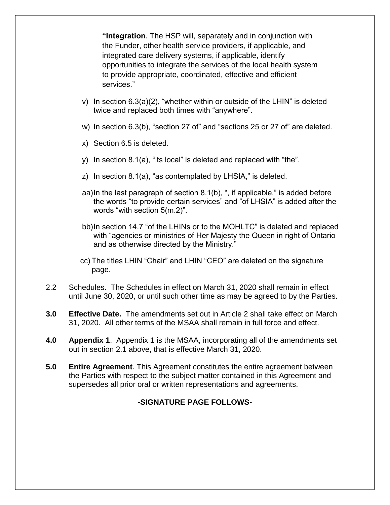**"Integration**. The HSP will, separately and in conjunction with the Funder, other health service providers, if applicable, and integrated care delivery systems, if applicable, identify opportunities to integrate the services of the local health system to provide appropriate, coordinated, effective and efficient services."

- v) In section 6.3(a)(2), "whether within or outside of the LHIN" is deleted twice and replaced both times with "anywhere".
- w) In section 6.3(b), "section 27 of" and "sections 25 or 27 of" are deleted.
- x) Section 6.5 is deleted.
- y) In section 8.1(a), "its local" is deleted and replaced with "the".
- z) In section 8.1(a), "as contemplated by LHSIA," is deleted.
- aa)In the last paragraph of section 8.1(b), ", if applicable," is added before the words "to provide certain services" and "of LHSIA" is added after the words "with section 5(m.2)".
- bb)In section 14.7 "of the LHINs or to the MOHLTC" is deleted and replaced with "agencies or ministries of Her Majesty the Queen in right of Ontario and as otherwise directed by the Ministry."
- cc) The titles LHIN "Chair" and LHIN "CEO" are deleted on the signature page.
- 2.2 Schedules. The Schedules in effect on March 31, 2020 shall remain in effect until June 30, 2020, or until such other time as may be agreed to by the Parties.
- **3.0 Effective Date.** The amendments set out in Article 2 shall take effect on March 31, 2020. All other terms of the MSAA shall remain in full force and effect.
- **4.0 Appendix 1**. Appendix 1 is the MSAA, incorporating all of the amendments set out in section 2.1 above, that is effective March 31, 2020.
- **5.0 Entire Agreement**. This Agreement constitutes the entire agreement between the Parties with respect to the subject matter contained in this Agreement and supersedes all prior oral or written representations and agreements.

## **-SIGNATURE PAGE FOLLOWS-**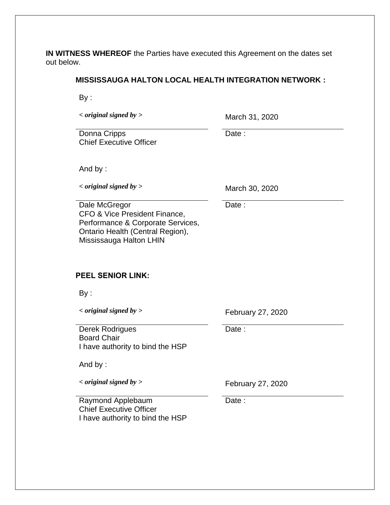**IN WITNESS WHEREOF** the Parties have executed this Agreement on the dates set out below.

### **MISSISSAUGA HALTON LOCAL HEALTH INTEGRATION NETWORK :**

By :

*< original signed by >* March 31, 2020

Donna Cripps Chief Executive Officer Date:

Date:

And by :

*< original signed by >* March 30, 2020

Dale McGregor CFO & Vice President Finance, Performance & Corporate Services, Ontario Health (Central Region), Mississauga Halton LHIN

## **PEEL SENIOR LINK:**

By :

*< original signed by >* February 27, 2020

Derek Rodrigues **Date :** Date : Board Chair I have authority to bind the HSP

And by :

*< original signed by >* February 27, 2020

Raymond Applebaum Date : Chief Executive Officer I have authority to bind the HSP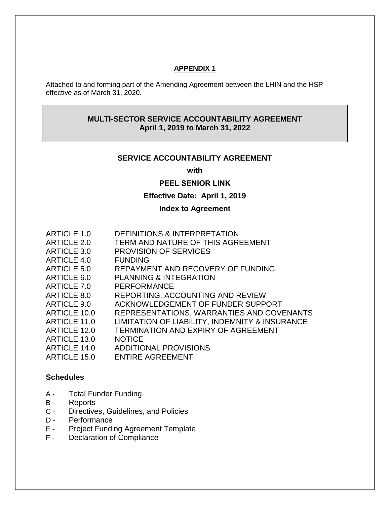### **APPENDIX 1**

Attached to and forming part of the Amending Agreement between the LHIN and the HSP effective as of March 31, 2020.

## **MULTI-SECTOR SERVICE ACCOUNTABILITY AGREEMENT April 1, 2019 to March 31, 2022**

### **SERVICE ACCOUNTABILITY AGREEMENT**

**with** 

## **PEEL SENIOR LINK**

#### **Effective Date: April 1, 2019**

# **Index to Agreement**

| <b>DEFINITIONS &amp; INTERPRETATION</b>        |
|------------------------------------------------|
|                                                |
| TERM AND NATURE OF THIS AGREEMENT              |
| <b>PROVISION OF SERVICES</b>                   |
| <b>FUNDING</b>                                 |
| REPAYMENT AND RECOVERY OF FUNDING              |
| <b>PLANNING &amp; INTEGRATION</b>              |
| <b>PERFORMANCE</b>                             |
| REPORTING, ACCOUNTING AND REVIEW               |
| ACKNOWLEDGEMENT OF FUNDER SUPPORT              |
| REPRESENTATIONS, WARRANTIES AND COVENANTS      |
| LIMITATION OF LIABILITY, INDEMNITY & INSURANCE |
| <b>TERMINATION AND EXPIRY OF AGREEMENT</b>     |
| <b>NOTICE</b>                                  |
| <b>ADDITIONAL PROVISIONS</b>                   |
| <b>ENTIRE AGREEMENT</b>                        |
|                                                |

## **Schedules**

- A Total Funder Funding
- B Reports
- C Directives, Guidelines, and Policies
- D Performance
- E Project Funding Agreement Template
- F Declaration of Compliance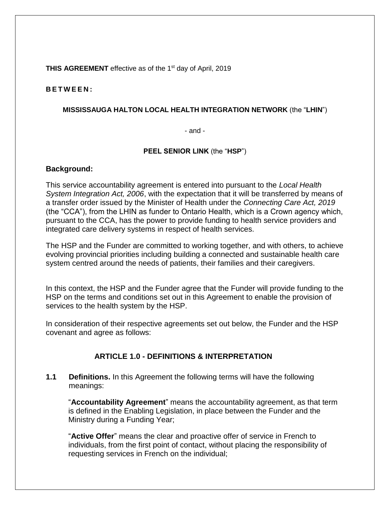**THIS AGREEMENT** effective as of the 1<sup>st</sup> day of April, 2019

### **B E T W E E N :**

### **MISSISSAUGA HALTON LOCAL HEALTH INTEGRATION NETWORK** (the "**LHIN**")

- and -

### **PEEL SENIOR LINK** (the "**HSP**")

### **Background:**

This service accountability agreement is entered into pursuant to the *Local Health System Integration Act, 2006*, with the expectation that it will be transferred by means of a transfer order issued by the Minister of Health under the *Connecting Care Act, 2019* (the "CCA"), from the LHIN as funder to Ontario Health, which is a Crown agency which, pursuant to the CCA, has the power to provide funding to health service providers and integrated care delivery systems in respect of health services.

The HSP and the Funder are committed to working together, and with others, to achieve evolving provincial priorities including building a connected and sustainable health care system centred around the needs of patients, their families and their caregivers.

In this context, the HSP and the Funder agree that the Funder will provide funding to the HSP on the terms and conditions set out in this Agreement to enable the provision of services to the health system by the HSP.

In consideration of their respective agreements set out below, the Funder and the HSP covenant and agree as follows:

# **ARTICLE 1.0 - DEFINITIONS & INTERPRETATION**

**1.1 Definitions.** In this Agreement the following terms will have the following meanings:

"**Accountability Agreement**" means the accountability agreement, as that term is defined in the Enabling Legislation, in place between the Funder and the Ministry during a Funding Year;

"**Active Offer**" means the clear and proactive offer of service in French to individuals, from the first point of contact, without placing the responsibility of requesting services in French on the individual;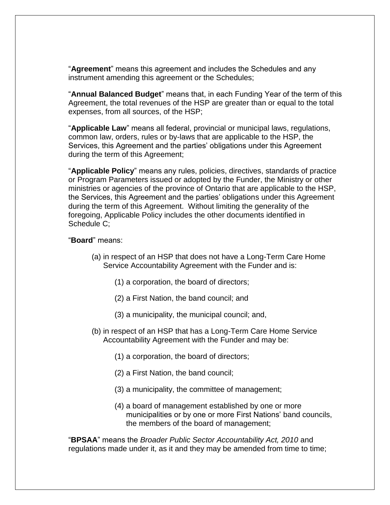"**Agreement**" means this agreement and includes the Schedules and any instrument amending this agreement or the Schedules;

"**Annual Balanced Budget**" means that, in each Funding Year of the term of this Agreement, the total revenues of the HSP are greater than or equal to the total expenses, from all sources, of the HSP;

"**Applicable Law**" means all federal, provincial or municipal laws, regulations, common law, orders, rules or by-laws that are applicable to the HSP, the Services, this Agreement and the parties' obligations under this Agreement during the term of this Agreement;

"**Applicable Policy**" means any rules, policies, directives, standards of practice or Program Parameters issued or adopted by the Funder, the Ministry or other ministries or agencies of the province of Ontario that are applicable to the HSP, the Services, this Agreement and the parties' obligations under this Agreement during the term of this Agreement. Without limiting the generality of the foregoing, Applicable Policy includes the other documents identified in Schedule C;

#### "**Board**" means:

- (a) in respect of an HSP that does not have a Long-Term Care Home Service Accountability Agreement with the Funder and is:
	- (1) a corporation, the board of directors;
	- (2) a First Nation, the band council; and
	- (3) a municipality, the municipal council; and,
- (b) in respect of an HSP that has a Long-Term Care Home Service Accountability Agreement with the Funder and may be:
	- (1) a corporation, the board of directors;
	- (2) a First Nation, the band council;
	- (3) a municipality, the committee of management;
	- (4) a board of management established by one or more municipalities or by one or more First Nations' band councils, the members of the board of management;

"**BPSAA**" means the *Broader Public Sector Accountability Act, 2010* and regulations made under it, as it and they may be amended from time to time;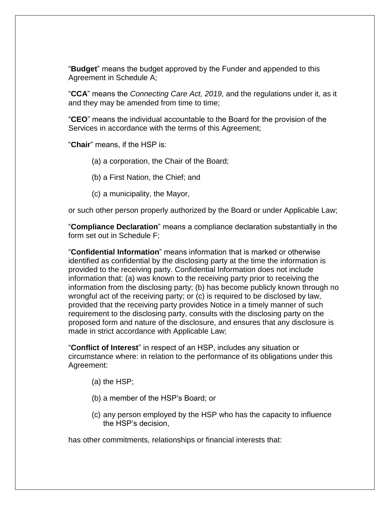"**Budget**" means the budget approved by the Funder and appended to this Agreement in Schedule A;

"**CCA**" means the *Connecting Care Act, 2019*, and the regulations under it, as it and they may be amended from time to time;

"**CEO**" means the individual accountable to the Board for the provision of the Services in accordance with the terms of this Agreement;

"**Chair**" means, if the HSP is:

(a) a corporation, the Chair of the Board;

(b) a First Nation, the Chief; and

(c) a municipality, the Mayor,

or such other person properly authorized by the Board or under Applicable Law;

"**Compliance Declaration**" means a compliance declaration substantially in the form set out in Schedule F;

"**Confidential Information**" means information that is marked or otherwise identified as confidential by the disclosing party at the time the information is provided to the receiving party. Confidential Information does not include information that: (a) was known to the receiving party prior to receiving the information from the disclosing party; (b) has become publicly known through no wrongful act of the receiving party; or (c) is required to be disclosed by law, provided that the receiving party provides Notice in a timely manner of such requirement to the disclosing party, consults with the disclosing party on the proposed form and nature of the disclosure, and ensures that any disclosure is made in strict accordance with Applicable Law;

"**Conflict of Interest**" in respect of an HSP, includes any situation or circumstance where: in relation to the performance of its obligations under this Agreement:

(a) the HSP;

(b) a member of the HSP's Board; or

(c) any person employed by the HSP who has the capacity to influence the HSP's decision,

has other commitments, relationships or financial interests that: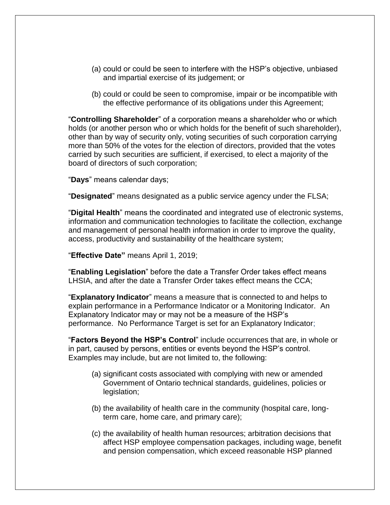- (a) could or could be seen to interfere with the HSP's objective, unbiased and impartial exercise of its judgement; or
- (b) could or could be seen to compromise, impair or be incompatible with the effective performance of its obligations under this Agreement;

"**Controlling Shareholder**" of a corporation means a shareholder who or which holds (or another person who or which holds for the benefit of such shareholder), other than by way of security only, voting securities of such corporation carrying more than 50% of the votes for the election of directors, provided that the votes carried by such securities are sufficient, if exercised, to elect a majority of the board of directors of such corporation;

"**Days**" means calendar days;

"**Designated**" means designated as a public service agency under the FLSA;

"**Digital Health**" means the coordinated and integrated use of electronic systems, information and communication technologies to facilitate the collection, exchange and management of personal health information in order to improve the quality, access, productivity and sustainability of the healthcare system;

"**Effective Date"** means April 1, 2019;

"**Enabling Legislation**" before the date a Transfer Order takes effect means LHSIA, and after the date a Transfer Order takes effect means the CCA;

"**Explanatory Indicator**" means a measure that is connected to and helps to explain performance in a Performance Indicator or a Monitoring Indicator. An Explanatory Indicator may or may not be a measure of the HSP's performance. No Performance Target is set for an Explanatory Indicator;

"**Factors Beyond the HSP's Control**" include occurrences that are, in whole or in part, caused by persons, entities or events beyond the HSP's control. Examples may include, but are not limited to, the following:

- (a) significant costs associated with complying with new or amended Government of Ontario technical standards, guidelines, policies or legislation;
- (b) the availability of health care in the community (hospital care, longterm care, home care, and primary care);
- (c) the availability of health human resources; arbitration decisions that affect HSP employee compensation packages, including wage, benefit and pension compensation, which exceed reasonable HSP planned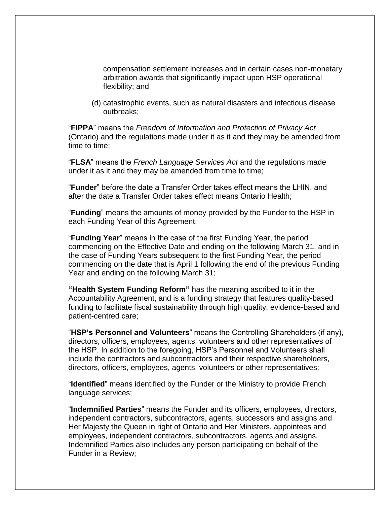compensation settlement increases and in certain cases non-monetary arbitration awards that significantly impact upon HSP operational flexibility; and

(d) catastrophic events, such as natural disasters and infectious disease outbreaks;

"**FIPPA**" means the *Freedom of Information and Protection of Privacy Act*  (Ontario) and the regulations made under it as it and they may be amended from time to time;

"**FLSA**" means the *French Language Services Act* and the regulations made under it as it and they may be amended from time to time;

"**Funder**" before the date a Transfer Order takes effect means the LHIN, and after the date a Transfer Order takes effect means Ontario Health;

"**Funding**" means the amounts of money provided by the Funder to the HSP in each Funding Year of this Agreement;

"**Funding Year**" means in the case of the first Funding Year, the period commencing on the Effective Date and ending on the following March 31, and in the case of Funding Years subsequent to the first Funding Year, the period commencing on the date that is April 1 following the end of the previous Funding Year and ending on the following March 31;

**"Health System Funding Reform"** has the meaning ascribed to it in the Accountability Agreement, and is a funding strategy that features quality-based funding to facilitate fiscal sustainability through high quality, evidence-based and patient-centred care;

"**HSP's Personnel and Volunteers**" means the Controlling Shareholders (if any), directors, officers, employees, agents, volunteers and other representatives of the HSP. In addition to the foregoing, HSP's Personnel and Volunteers shall include the contractors and subcontractors and their respective shareholders, directors, officers, employees, agents, volunteers or other representatives;

"**Identified**" means identified by the Funder or the Ministry to provide French language services;

"**Indemnified Parties**" means the Funder and its officers, employees, directors, independent contractors, subcontractors, agents, successors and assigns and Her Majesty the Queen in right of Ontario and Her Ministers, appointees and employees, independent contractors, subcontractors, agents and assigns. Indemnified Parties also includes any person participating on behalf of the Funder in a Review;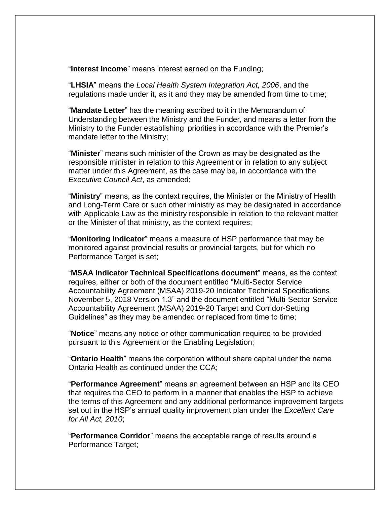"**Interest Income**" means interest earned on the Funding;

"**LHSIA**" means the *Local Health System Integration Act, 2006*, and the regulations made under it, as it and they may be amended from time to time;

"**Mandate Letter**" has the meaning ascribed to it in the Memorandum of Understanding between the Ministry and the Funder, and means a letter from the Ministry to the Funder establishing priorities in accordance with the Premier's mandate letter to the Ministry;

"**Minister**" means such minister of the Crown as may be designated as the responsible minister in relation to this Agreement or in relation to any subject matter under this Agreement, as the case may be, in accordance with the *Executive Council Act*, as amended;

"**Ministry**" means, as the context requires, the Minister or the Ministry of Health and Long-Term Care or such other ministry as may be designated in accordance with Applicable Law as the ministry responsible in relation to the relevant matter or the Minister of that ministry, as the context requires;

"**Monitoring Indicator**" means a measure of HSP performance that may be monitored against provincial results or provincial targets, but for which no Performance Target is set;

"**MSAA Indicator Technical Specifications document**" means, as the context requires, either or both of the document entitled "Multi-Sector Service Accountability Agreement (MSAA) 2019-20 Indicator Technical Specifications November 5, 2018 Version 1.3" and the document entitled "Multi-Sector Service Accountability Agreement (MSAA) 2019-20 Target and Corridor-Setting Guidelines" as they may be amended or replaced from time to time;

"**Notice**" means any notice or other communication required to be provided pursuant to this Agreement or the Enabling Legislation;

"**Ontario Health**" means the corporation without share capital under the name Ontario Health as continued under the CCA;

"**Performance Agreement**" means an agreement between an HSP and its CEO that requires the CEO to perform in a manner that enables the HSP to achieve the terms of this Agreement and any additional performance improvement targets set out in the HSP's annual quality improvement plan under the *Excellent Care for All Act, 2010*;

"**Performance Corridor**" means the acceptable range of results around a Performance Target;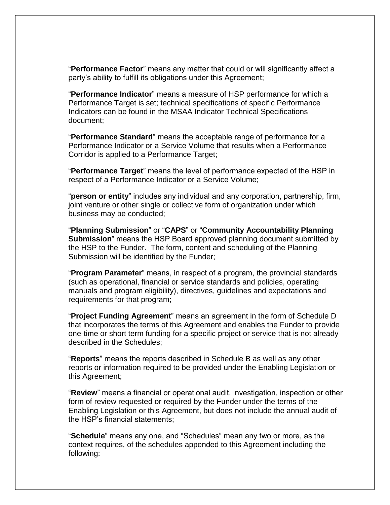"**Performance Factor**" means any matter that could or will significantly affect a party's ability to fulfill its obligations under this Agreement;

"**Performance Indicator**" means a measure of HSP performance for which a Performance Target is set; technical specifications of specific Performance Indicators can be found in the MSAA Indicator Technical Specifications document;

"**Performance Standard**" means the acceptable range of performance for a Performance Indicator or a Service Volume that results when a Performance Corridor is applied to a Performance Target;

"**Performance Target**" means the level of performance expected of the HSP in respect of a Performance Indicator or a Service Volume;

"**person or entity**" includes any individual and any corporation, partnership, firm, joint venture or other single or collective form of organization under which business may be conducted;

"**Planning Submission**" or "**CAPS**" or "**Community Accountability Planning Submission**" means the HSP Board approved planning document submitted by the HSP to the Funder. The form, content and scheduling of the Planning Submission will be identified by the Funder;

"**Program Parameter**" means, in respect of a program, the provincial standards (such as operational, financial or service standards and policies, operating manuals and program eligibility), directives, guidelines and expectations and requirements for that program;

"**Project Funding Agreement**" means an agreement in the form of Schedule D that incorporates the terms of this Agreement and enables the Funder to provide one-time or short term funding for a specific project or service that is not already described in the Schedules;

"**Reports**" means the reports described in Schedule B as well as any other reports or information required to be provided under the Enabling Legislation or this Agreement;

"**Review**" means a financial or operational audit, investigation, inspection or other form of review requested or required by the Funder under the terms of the Enabling Legislation or this Agreement, but does not include the annual audit of the HSP's financial statements;

"**Schedule**" means any one, and "Schedules" mean any two or more, as the context requires, of the schedules appended to this Agreement including the following: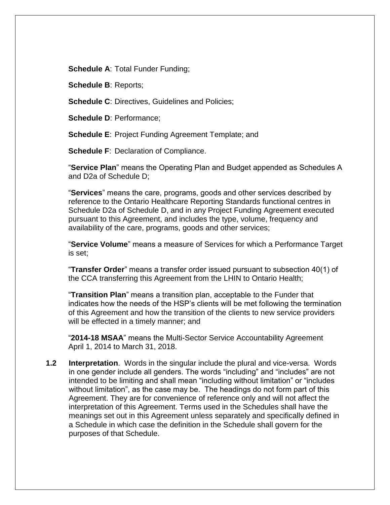**Schedule A: Total Funder Funding:** 

**Schedule B**: Reports;

**Schedule C: Directives, Guidelines and Policies;** 

**Schedule D**: Performance;

**Schedule E**: Project Funding Agreement Template; and

**Schedule F**: Declaration of Compliance.

"**Service Plan**" means the Operating Plan and Budget appended as Schedules A and D2a of Schedule D;

"**Services**" means the care, programs, goods and other services described by reference to the Ontario Healthcare Reporting Standards functional centres in Schedule D2a of Schedule D, and in any Project Funding Agreement executed pursuant to this Agreement, and includes the type, volume, frequency and availability of the care, programs, goods and other services;

"**Service Volume**" means a measure of Services for which a Performance Target is set;

"**Transfer Order**" means a transfer order issued pursuant to subsection 40(1) of the CCA transferring this Agreement from the LHIN to Ontario Health;

"**Transition Plan**" means a transition plan, acceptable to the Funder that indicates how the needs of the HSP's clients will be met following the termination of this Agreement and how the transition of the clients to new service providers will be effected in a timely manner; and

"**2014-18 MSAA**" means the Multi-Sector Service Accountability Agreement April 1, 2014 to March 31, 2018.

**1.2 Interpretation**.Words in the singular include the plural and vice-versa. Words in one gender include all genders. The words "including" and "includes" are not intended to be limiting and shall mean "including without limitation" or "includes without limitation", as the case may be. The headings do not form part of this Agreement. They are for convenience of reference only and will not affect the interpretation of this Agreement. Terms used in the Schedules shall have the meanings set out in this Agreement unless separately and specifically defined in a Schedule in which case the definition in the Schedule shall govern for the purposes of that Schedule.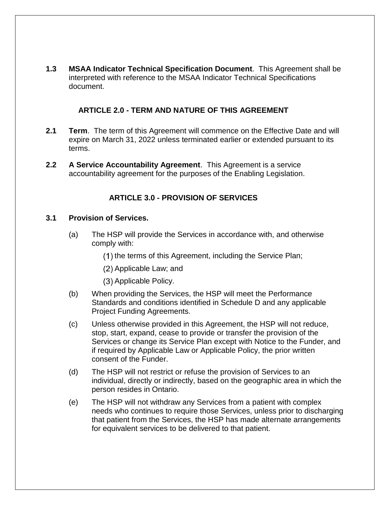**1.3 MSAA Indicator Technical Specification Document**. This Agreement shall be interpreted with reference to the MSAA Indicator Technical Specifications document.

## **ARTICLE 2.0 - TERM AND NATURE OF THIS AGREEMENT**

- **2.1 Term**. The term of this Agreement will commence on the Effective Date and will expire on March 31, 2022 unless terminated earlier or extended pursuant to its terms.
- **2.2 A Service Accountability Agreement**. This Agreement is a service accountability agreement for the purposes of the Enabling Legislation.

# **ARTICLE 3.0 - PROVISION OF SERVICES**

### **3.1 Provision of Services.**

- (a) The HSP will provide the Services in accordance with, and otherwise comply with:
	- $(1)$  the terms of this Agreement, including the Service Plan;
	- (2) Applicable Law; and
	- (3) Applicable Policy.
- (b) When providing the Services, the HSP will meet the Performance Standards and conditions identified in Schedule D and any applicable Project Funding Agreements.
- (c) Unless otherwise provided in this Agreement, the HSP will not reduce, stop, start, expand, cease to provide or transfer the provision of the Services or change its Service Plan except with Notice to the Funder, and if required by Applicable Law or Applicable Policy, the prior written consent of the Funder.
- (d) The HSP will not restrict or refuse the provision of Services to an individual, directly or indirectly, based on the geographic area in which the person resides in Ontario.
- (e) The HSP will not withdraw any Services from a patient with complex needs who continues to require those Services, unless prior to discharging that patient from the Services, the HSP has made alternate arrangements for equivalent services to be delivered to that patient.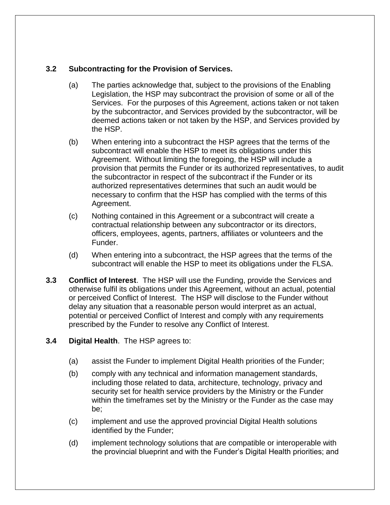# **3.2 Subcontracting for the Provision of Services.**

- (a) The parties acknowledge that, subject to the provisions of the Enabling Legislation, the HSP may subcontract the provision of some or all of the Services. For the purposes of this Agreement, actions taken or not taken by the subcontractor, and Services provided by the subcontractor, will be deemed actions taken or not taken by the HSP, and Services provided by the HSP.
- (b) When entering into a subcontract the HSP agrees that the terms of the subcontract will enable the HSP to meet its obligations under this Agreement. Without limiting the foregoing, the HSP will include a provision that permits the Funder or its authorized representatives, to audit the subcontractor in respect of the subcontract if the Funder or its authorized representatives determines that such an audit would be necessary to confirm that the HSP has complied with the terms of this Agreement.
- (c) Nothing contained in this Agreement or a subcontract will create a contractual relationship between any subcontractor or its directors, officers, employees, agents, partners, affiliates or volunteers and the Funder.
- (d) When entering into a subcontract, the HSP agrees that the terms of the subcontract will enable the HSP to meet its obligations under the FLSA.
- **3.3 Conflict of Interest**.The HSP will use the Funding, provide the Services and otherwise fulfil its obligations under this Agreement, without an actual, potential or perceived Conflict of Interest. The HSP will disclose to the Funder without delay any situation that a reasonable person would interpret as an actual, potential or perceived Conflict of Interest and comply with any requirements prescribed by the Funder to resolve any Conflict of Interest.
- **3.4 Digital Health**. The HSP agrees to:
	- (a) assist the Funder to implement Digital Health priorities of the Funder;
	- (b) comply with any technical and information management standards, including those related to data, architecture, technology, privacy and security set for health service providers by the Ministry or the Funder within the timeframes set by the Ministry or the Funder as the case may be;
	- (c) implement and use the approved provincial Digital Health solutions identified by the Funder;
	- (d) implement technology solutions that are compatible or interoperable with the provincial blueprint and with the Funder's Digital Health priorities; and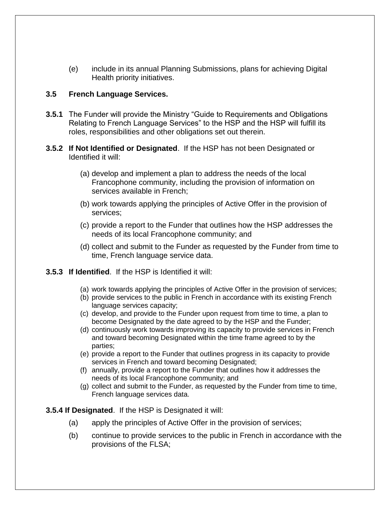(e) include in its annual Planning Submissions, plans for achieving Digital Health priority initiatives.

### **3.5 French Language Services.**

- **3.5.1** The Funder will provide the Ministry "Guide to Requirements and Obligations Relating to French Language Services" to the HSP and the HSP will fulfill its roles, responsibilities and other obligations set out therein.
- **3.5.2 If Not Identified or Designated**. If the HSP has not been Designated or Identified it will:
	- (a) develop and implement a plan to address the needs of the local Francophone community, including the provision of information on services available in French;
	- (b) work towards applying the principles of Active Offer in the provision of services;
	- (c) provide a report to the Funder that outlines how the HSP addresses the needs of its local Francophone community; and
	- (d) collect and submit to the Funder as requested by the Funder from time to time, French language service data.

#### **3.5.3 If Identified**. If the HSP is Identified it will:

- (a) work towards applying the principles of Active Offer in the provision of services;
- (b) provide services to the public in French in accordance with its existing French language services capacity;
- (c) develop, and provide to the Funder upon request from time to time, a plan to become Designated by the date agreed to by the HSP and the Funder;
- (d) continuously work towards improving its capacity to provide services in French and toward becoming Designated within the time frame agreed to by the parties;
- (e) provide a report to the Funder that outlines progress in its capacity to provide services in French and toward becoming Designated;
- (f) annually, provide a report to the Funder that outlines how it addresses the needs of its local Francophone community; and
- (g) collect and submit to the Funder, as requested by the Funder from time to time, French language services data.

**3.5.4 If Designated**. If the HSP is Designated it will:

- (a) apply the principles of Active Offer in the provision of services;
- (b) continue to provide services to the public in French in accordance with the provisions of the FLSA;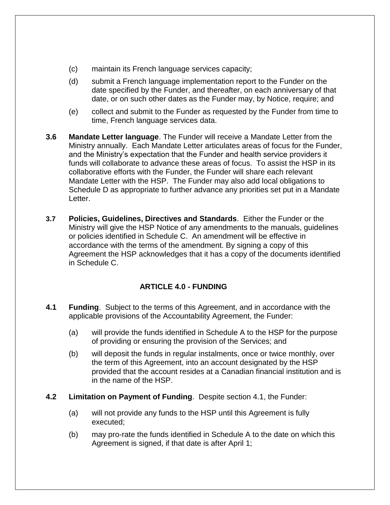- (c) maintain its French language services capacity;
- (d) submit a French language implementation report to the Funder on the date specified by the Funder, and thereafter, on each anniversary of that date, or on such other dates as the Funder may, by Notice, require; and
- (e) collect and submit to the Funder as requested by the Funder from time to time, French language services data.
- **3.6 Mandate Letter language**. The Funder will receive a Mandate Letter from the Ministry annually. Each Mandate Letter articulates areas of focus for the Funder, and the Ministry's expectation that the Funder and health service providers it funds will collaborate to advance these areas of focus. To assist the HSP in its collaborative efforts with the Funder, the Funder will share each relevant Mandate Letter with the HSP. The Funder may also add local obligations to Schedule D as appropriate to further advance any priorities set put in a Mandate Letter.
- **3.7 Policies, Guidelines, Directives and Standards**. Either the Funder or the Ministry will give the HSP Notice of any amendments to the manuals, guidelines or policies identified in Schedule C. An amendment will be effective in accordance with the terms of the amendment. By signing a copy of this Agreement the HSP acknowledges that it has a copy of the documents identified in Schedule C.

# **ARTICLE 4.0 - FUNDING**

- **4.1 Funding**. Subject to the terms of this Agreement, and in accordance with the applicable provisions of the Accountability Agreement, the Funder:
	- (a) will provide the funds identified in Schedule A to the HSP for the purpose of providing or ensuring the provision of the Services; and
	- (b) will deposit the funds in regular instalments, once or twice monthly, over the term of this Agreement, into an account designated by the HSP provided that the account resides at a Canadian financial institution and is in the name of the HSP.
- **4.2 Limitation on Payment of Funding**. Despite section 4.1, the Funder:
	- (a) will not provide any funds to the HSP until this Agreement is fully executed;
	- (b) may pro-rate the funds identified in Schedule A to the date on which this Agreement is signed, if that date is after April 1;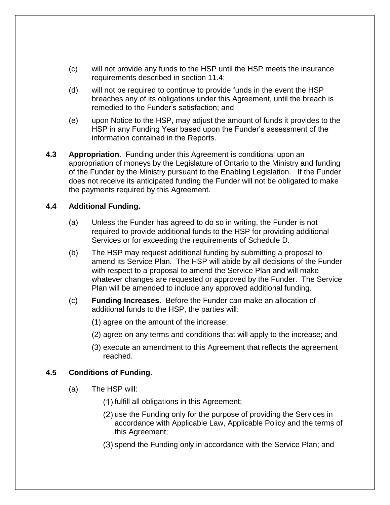- (c) will not provide any funds to the HSP until the HSP meets the insurance requirements described in section 11.4;
- (d) will not be required to continue to provide funds in the event the HSP breaches any of its obligations under this Agreement, until the breach is remedied to the Funder's satisfaction; and
- (e) upon Notice to the HSP, may adjust the amount of funds it provides to the HSP in any Funding Year based upon the Funder's assessment of the information contained in the Reports.
- **4.3 Appropriation**. Funding under this Agreement is conditional upon an appropriation of moneys by the Legislature of Ontario to the Ministry and funding of the Funder by the Ministry pursuant to the Enabling Legislation. If the Funder does not receive its anticipated funding the Funder will not be obligated to make the payments required by this Agreement.

# **4.4 Additional Funding.**

- (a) Unless the Funder has agreed to do so in writing, the Funder is not required to provide additional funds to the HSP for providing additional Services or for exceeding the requirements of Schedule D.
- (b) The HSP may request additional funding by submitting a proposal to amend its Service Plan. The HSP will abide by all decisions of the Funder with respect to a proposal to amend the Service Plan and will make whatever changes are requested or approved by the Funder. The Service Plan will be amended to include any approved additional funding.
- (c) **Funding Increases**. Before the Funder can make an allocation of additional funds to the HSP, the parties will:
	- (1) agree on the amount of the increase;
	- (2) agree on any terms and conditions that will apply to the increase; and
	- (3) execute an amendment to this Agreement that reflects the agreement reached.

# **4.5 Conditions of Funding.**

- (a) The HSP will:
	- (1) fulfill all obligations in this Agreement;
	- (2) use the Funding only for the purpose of providing the Services in accordance with Applicable Law, Applicable Policy and the terms of this Agreement;
	- (3) spend the Funding only in accordance with the Service Plan; and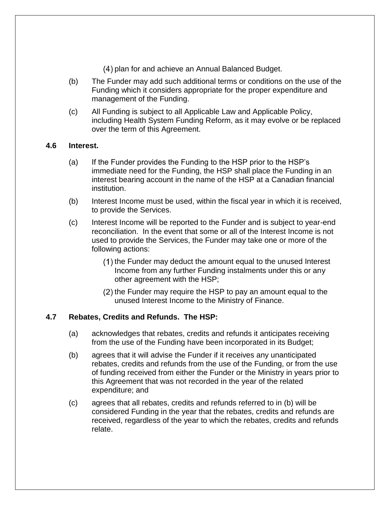- plan for and achieve an Annual Balanced Budget.
- (b) The Funder may add such additional terms or conditions on the use of the Funding which it considers appropriate for the proper expenditure and management of the Funding.
- (c) All Funding is subject to all Applicable Law and Applicable Policy, including Health System Funding Reform, as it may evolve or be replaced over the term of this Agreement.

#### **4.6 Interest.**

- (a) If the Funder provides the Funding to the HSP prior to the HSP's immediate need for the Funding, the HSP shall place the Funding in an interest bearing account in the name of the HSP at a Canadian financial institution.
- (b) Interest Income must be used, within the fiscal year in which it is received, to provide the Services.
- (c) Interest Income will be reported to the Funder and is subject to year-end reconciliation. In the event that some or all of the Interest Income is not used to provide the Services, the Funder may take one or more of the following actions:
	- $(1)$  the Funder may deduct the amount equal to the unused Interest Income from any further Funding instalments under this or any other agreement with the HSP;
	- $(2)$  the Funder may require the HSP to pay an amount equal to the unused Interest Income to the Ministry of Finance.

## **4.7 Rebates, Credits and Refunds. The HSP:**

- (a) acknowledges that rebates, credits and refunds it anticipates receiving from the use of the Funding have been incorporated in its Budget;
- (b) agrees that it will advise the Funder if it receives any unanticipated rebates, credits and refunds from the use of the Funding, or from the use of funding received from either the Funder or the Ministry in years prior to this Agreement that was not recorded in the year of the related expenditure; and
- (c) agrees that all rebates, credits and refunds referred to in (b) will be considered Funding in the year that the rebates, credits and refunds are received, regardless of the year to which the rebates, credits and refunds relate.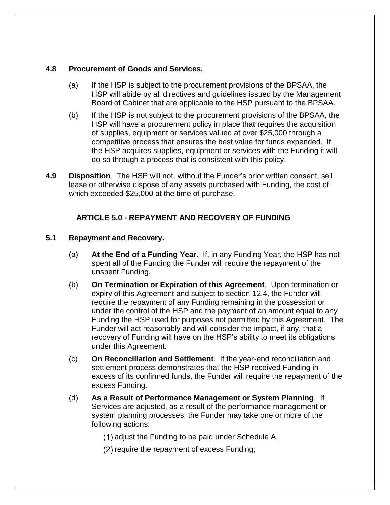## **4.8 Procurement of Goods and Services.**

- (a) If the HSP is subject to the procurement provisions of the BPSAA, the HSP will abide by all directives and guidelines issued by the Management Board of Cabinet that are applicable to the HSP pursuant to the BPSAA.
- (b) If the HSP is not subject to the procurement provisions of the BPSAA, the HSP will have a procurement policy in place that requires the acquisition of supplies, equipment or services valued at over \$25,000 through a competitive process that ensures the best value for funds expended. If the HSP acquires supplies, equipment or services with the Funding it will do so through a process that is consistent with this policy.
- **4.9 Disposition**. The HSP will not, without the Funder's prior written consent, sell, lease or otherwise dispose of any assets purchased with Funding, the cost of which exceeded \$25,000 at the time of purchase.

# **ARTICLE 5.0 - REPAYMENT AND RECOVERY OF FUNDING**

# **5.1 Repayment and Recovery.**

- (a) **At the End of a Funding Year**. If, in any Funding Year, the HSP has not spent all of the Funding the Funder will require the repayment of the unspent Funding.
- (b) **On Termination or Expiration of this Agreement**. Upon termination or expiry of this Agreement and subject to section 12.4, the Funder will require the repayment of any Funding remaining in the possession or under the control of the HSP and the payment of an amount equal to any Funding the HSP used for purposes not permitted by this Agreement. The Funder will act reasonably and will consider the impact, if any, that a recovery of Funding will have on the HSP's ability to meet its obligations under this Agreement.
- (c) **On Reconciliation and Settlement**. If the year-end reconciliation and settlement process demonstrates that the HSP received Funding in excess of its confirmed funds, the Funder will require the repayment of the excess Funding.
- (d) **As a Result of Performance Management or System Planning**. If Services are adjusted, as a result of the performance management or system planning processes, the Funder may take one or more of the following actions:

 $(1)$  adjust the Funding to be paid under Schedule A,

(2) require the repayment of excess Funding;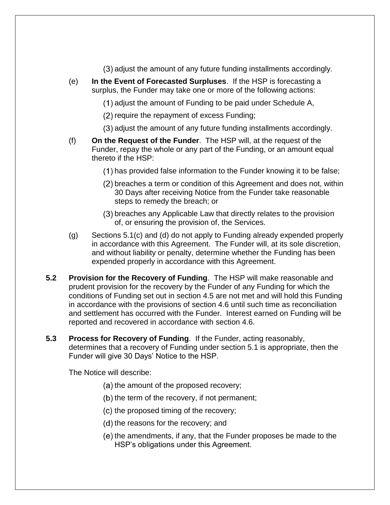- (3) adjust the amount of any future funding installments accordingly.
- (e) **In the Event of Forecasted Surpluses**. If the HSP is forecasting a surplus, the Funder may take one or more of the following actions:
	- $(1)$  adjust the amount of Funding to be paid under Schedule A,
	- (2) require the repayment of excess Funding;
	- (3) adjust the amount of any future funding installments accordingly.
- (f) **On the Request of the Funder**. The HSP will, at the request of the Funder, repay the whole or any part of the Funding, or an amount equal thereto if the HSP:
	- (1) has provided false information to the Funder knowing it to be false;
	- (2) breaches a term or condition of this Agreement and does not, within 30 Days after receiving Notice from the Funder take reasonable steps to remedy the breach; or
	- (3) breaches any Applicable Law that directly relates to the provision of, or ensuring the provision of, the Services.
- (g) Sections 5.1(c) and (d) do not apply to Funding already expended properly in accordance with this Agreement. The Funder will, at its sole discretion, and without liability or penalty, determine whether the Funding has been expended properly in accordance with this Agreement.
- **5.2 Provision for the Recovery of Funding**.The HSP will make reasonable and prudent provision for the recovery by the Funder of any Funding for which the conditions of Funding set out in section 4.5 are not met and will hold this Funding in accordance with the provisions of section 4.6 until such time as reconciliation and settlement has occurred with the Funder. Interest earned on Funding will be reported and recovered in accordance with section 4.6.
- **5.3 Process for Recovery of Funding**.If the Funder, acting reasonably, determines that a recovery of Funding under section 5.1 is appropriate, then the Funder will give 30 Days' Notice to the HSP.

The Notice will describe:

- $(a)$  the amount of the proposed recovery;
- $(b)$  the term of the recovery, if not permanent;
- $(c)$  the proposed timing of the recovery;
- $(d)$  the reasons for the recovery; and
- (e) the amendments, if any, that the Funder proposes be made to the HSP's obligations under this Agreement.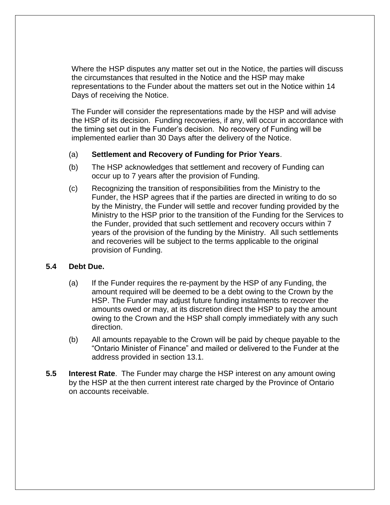Where the HSP disputes any matter set out in the Notice, the parties will discuss the circumstances that resulted in the Notice and the HSP may make representations to the Funder about the matters set out in the Notice within 14 Days of receiving the Notice.

The Funder will consider the representations made by the HSP and will advise the HSP of its decision. Funding recoveries, if any, will occur in accordance with the timing set out in the Funder's decision. No recovery of Funding will be implemented earlier than 30 Days after the delivery of the Notice.

## (a) **Settlement and Recovery of Funding for Prior Years**.

- (b) The HSP acknowledges that settlement and recovery of Funding can occur up to 7 years after the provision of Funding.
- (c) Recognizing the transition of responsibilities from the Ministry to the Funder, the HSP agrees that if the parties are directed in writing to do so by the Ministry, the Funder will settle and recover funding provided by the Ministry to the HSP prior to the transition of the Funding for the Services to the Funder, provided that such settlement and recovery occurs within 7 years of the provision of the funding by the Ministry. All such settlements and recoveries will be subject to the terms applicable to the original provision of Funding.

## **5.4 Debt Due.**

- (a) If the Funder requires the re-payment by the HSP of any Funding, the amount required will be deemed to be a debt owing to the Crown by the HSP. The Funder may adjust future funding instalments to recover the amounts owed or may, at its discretion direct the HSP to pay the amount owing to the Crown and the HSP shall comply immediately with any such direction.
- (b) All amounts repayable to the Crown will be paid by cheque payable to the "Ontario Minister of Finance" and mailed or delivered to the Funder at the address provided in section 13.1.
- **5.5 Interest Rate**. The Funder may charge the HSP interest on any amount owing by the HSP at the then current interest rate charged by the Province of Ontario on accounts receivable.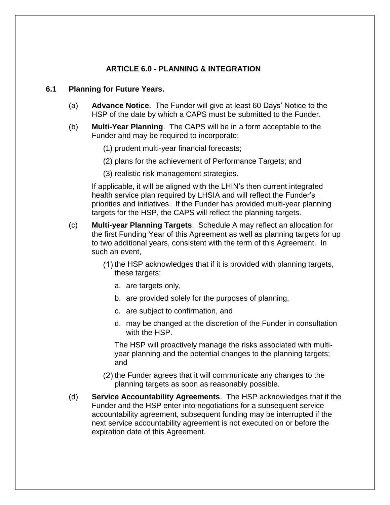## **ARTICLE 6.0 - PLANNING & INTEGRATION**

#### **6.1 Planning for Future Years.**

- (a) **Advance Notice**. The Funder will give at least 60 Days' Notice to the HSP of the date by which a CAPS must be submitted to the Funder.
- (b) **Multi-Year Planning**. The CAPS will be in a form acceptable to the Funder and may be required to incorporate:
	- (1) prudent multi-year financial forecasts;
	- (2) plans for the achievement of Performance Targets; and
	- (3) realistic risk management strategies.

If applicable, it will be aligned with the LHIN's then current integrated health service plan required by LHSIA and will reflect the Funder's priorities and initiatives. If the Funder has provided multi-year planning targets for the HSP, the CAPS will reflect the planning targets.

- (c) **Multi-year Planning Targets**. Schedule A may reflect an allocation for the first Funding Year of this Agreement as well as planning targets for up to two additional years, consistent with the term of this Agreement. In such an event,
	- $(1)$  the HSP acknowledges that if it is provided with planning targets, these targets:
		- a. are targets only,
		- b. are provided solely for the purposes of planning,
		- c. are subject to confirmation, and
		- d. may be changed at the discretion of the Funder in consultation with the HSP.

The HSP will proactively manage the risks associated with multiyear planning and the potential changes to the planning targets; and

- (2) the Funder agrees that it will communicate any changes to the planning targets as soon as reasonably possible.
- (d) **Service Accountability Agreements**. The HSP acknowledges that if the Funder and the HSP enter into negotiations for a subsequent service accountability agreement, subsequent funding may be interrupted if the next service accountability agreement is not executed on or before the expiration date of this Agreement.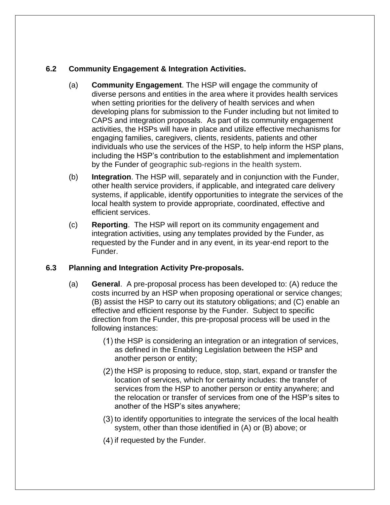# **6.2 Community Engagement & Integration Activities.**

- (a) **Community Engagement**. The HSP will engage the community of diverse persons and entities in the area where it provides health services when setting priorities for the delivery of health services and when developing plans for submission to the Funder including but not limited to CAPS and integration proposals. As part of its community engagement activities, the HSPs will have in place and utilize effective mechanisms for engaging families, caregivers, clients, residents, patients and other individuals who use the services of the HSP, to help inform the HSP plans, including the HSP's contribution to the establishment and implementation by the Funder of geographic sub-regions in the health system.
- (b) **Integration**. The HSP will, separately and in conjunction with the Funder, other health service providers, if applicable, and integrated care delivery systems, if applicable, identify opportunities to integrate the services of the local health system to provide appropriate, coordinated, effective and efficient services.
- (c) **Reporting**. The HSP will report on its community engagement and integration activities, using any templates provided by the Funder, as requested by the Funder and in any event, in its year-end report to the Funder.

## **6.3 Planning and Integration Activity Pre-proposals.**

- (a) **General**. A pre-proposal process has been developed to: (A) reduce the costs incurred by an HSP when proposing operational or service changes; (B) assist the HSP to carry out its statutory obligations; and (C) enable an effective and efficient response by the Funder. Subject to specific direction from the Funder, this pre-proposal process will be used in the following instances:
	- $(1)$  the HSP is considering an integration or an integration of services, as defined in the Enabling Legislation between the HSP and another person or entity;
	- $(2)$  the HSP is proposing to reduce, stop, start, expand or transfer the location of services, which for certainty includes: the transfer of services from the HSP to another person or entity anywhere; and the relocation or transfer of services from one of the HSP's sites to another of the HSP's sites anywhere;
	- $(3)$  to identify opportunities to integrate the services of the local health system, other than those identified in (A) or (B) above; or
	- $(4)$  if requested by the Funder.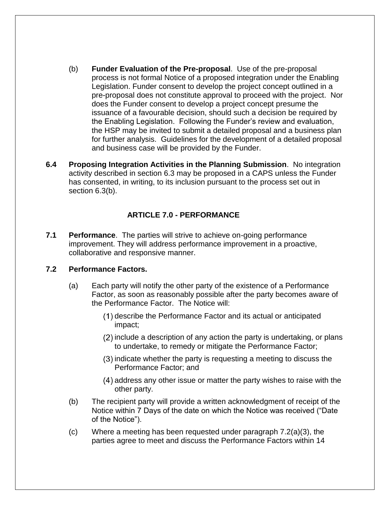- (b) **Funder Evaluation of the Pre-proposal**. Use of the pre-proposal process is not formal Notice of a proposed integration under the Enabling Legislation. Funder consent to develop the project concept outlined in a pre-proposal does not constitute approval to proceed with the project. Nor does the Funder consent to develop a project concept presume the issuance of a favourable decision, should such a decision be required by the Enabling Legislation. Following the Funder's review and evaluation, the HSP may be invited to submit a detailed proposal and a business plan for further analysis. Guidelines for the development of a detailed proposal and business case will be provided by the Funder.
- **6.4 Proposing Integration Activities in the Planning Submission**. No integration activity described in section 6.3 may be proposed in a CAPS unless the Funder has consented, in writing, to its inclusion pursuant to the process set out in section 6.3(b).

# **ARTICLE 7.0 - PERFORMANCE**

**7.1 Performance**. The parties will strive to achieve on-going performance improvement. They will address performance improvement in a proactive, collaborative and responsive manner.

## **7.2 Performance Factors.**

- (a) Each party will notify the other party of the existence of a Performance Factor, as soon as reasonably possible after the party becomes aware of the Performance Factor. The Notice will:
	- describe the Performance Factor and its actual or anticipated impact;
	- $(2)$  include a description of any action the party is undertaking, or plans to undertake, to remedy or mitigate the Performance Factor;
	- (3) indicate whether the party is requesting a meeting to discuss the Performance Factor; and
	- (4) address any other issue or matter the party wishes to raise with the other party.
- (b) The recipient party will provide a written acknowledgment of receipt of the Notice within 7 Days of the date on which the Notice was received ("Date of the Notice").
- (c) Where a meeting has been requested under paragraph 7.2(a)(3), the parties agree to meet and discuss the Performance Factors within 14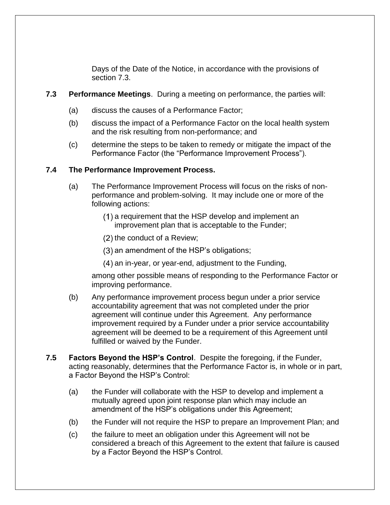Days of the Date of the Notice, in accordance with the provisions of section 7.3.

- **7.3 Performance Meetings**.During a meeting on performance, the parties will:
	- (a) discuss the causes of a Performance Factor;
	- (b) discuss the impact of a Performance Factor on the local health system and the risk resulting from non-performance; and
	- (c) determine the steps to be taken to remedy or mitigate the impact of the Performance Factor (the "Performance Improvement Process").

# **7.4 The Performance Improvement Process.**

- (a) The Performance Improvement Process will focus on the risks of nonperformance and problem-solving. It may include one or more of the following actions:
	- (1) a requirement that the HSP develop and implement an improvement plan that is acceptable to the Funder;
	- $(2)$  the conduct of a Review;
	- (3) an amendment of the HSP's obligations;
	- an in-year, or year-end, adjustment to the Funding,

among other possible means of responding to the Performance Factor or improving performance.

- (b) Any performance improvement process begun under a prior service accountability agreement that was not completed under the prior agreement will continue under this Agreement. Any performance improvement required by a Funder under a prior service accountability agreement will be deemed to be a requirement of this Agreement until fulfilled or waived by the Funder.
- **7.5 Factors Beyond the HSP's Control**. Despite the foregoing, if the Funder, acting reasonably, determines that the Performance Factor is, in whole or in part, a Factor Beyond the HSP's Control:
	- (a) the Funder will collaborate with the HSP to develop and implement a mutually agreed upon joint response plan which may include an amendment of the HSP's obligations under this Agreement;
	- (b) the Funder will not require the HSP to prepare an Improvement Plan; and
	- (c) the failure to meet an obligation under this Agreement will not be considered a breach of this Agreement to the extent that failure is caused by a Factor Beyond the HSP's Control.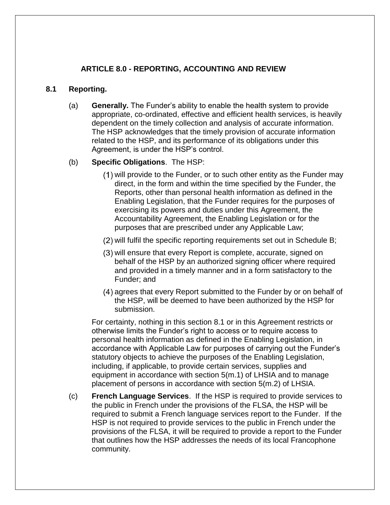## **ARTICLE 8.0 - REPORTING, ACCOUNTING AND REVIEW**

### **8.1 Reporting.**

(a) **Generally.** The Funder's ability to enable the health system to provide appropriate, co-ordinated, effective and efficient health services, is heavily dependent on the timely collection and analysis of accurate information. The HSP acknowledges that the timely provision of accurate information related to the HSP, and its performance of its obligations under this Agreement, is under the HSP's control.

#### (b) **Specific Obligations**. The HSP:

- will provide to the Funder, or to such other entity as the Funder may direct, in the form and within the time specified by the Funder, the Reports, other than personal health information as defined in the Enabling Legislation, that the Funder requires for the purposes of exercising its powers and duties under this Agreement, the Accountability Agreement, the Enabling Legislation or for the purposes that are prescribed under any Applicable Law;
- will fulfil the specific reporting requirements set out in Schedule B;
- will ensure that every Report is complete, accurate, signed on behalf of the HSP by an authorized signing officer where required and provided in a timely manner and in a form satisfactory to the Funder; and
- (4) agrees that every Report submitted to the Funder by or on behalf of the HSP, will be deemed to have been authorized by the HSP for submission.

For certainty, nothing in this section 8.1 or in this Agreement restricts or otherwise limits the Funder's right to access or to require access to personal health information as defined in the Enabling Legislation, in accordance with Applicable Law for purposes of carrying out the Funder's statutory objects to achieve the purposes of the Enabling Legislation, including, if applicable, to provide certain services, supplies and equipment in accordance with section 5(m.1) of LHSIA and to manage placement of persons in accordance with section 5(m.2) of LHSIA.

(c) **French Language Services**. If the HSP is required to provide services to the public in French under the provisions of the FLSA, the HSP will be required to submit a French language services report to the Funder. If the HSP is not required to provide services to the public in French under the provisions of the FLSA, it will be required to provide a report to the Funder that outlines how the HSP addresses the needs of its local Francophone community.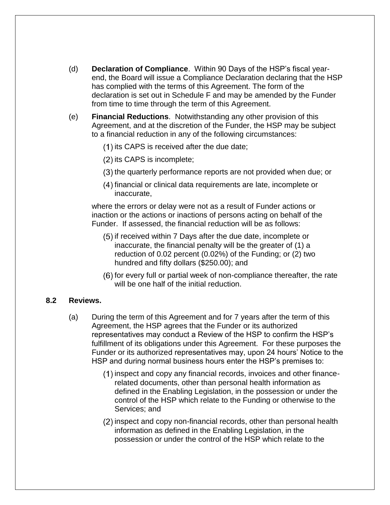- (d) **Declaration of Compliance**. Within 90 Days of the HSP's fiscal yearend, the Board will issue a Compliance Declaration declaring that the HSP has complied with the terms of this Agreement. The form of the declaration is set out in Schedule F and may be amended by the Funder from time to time through the term of this Agreement.
- (e) **Financial Reductions**. Notwithstanding any other provision of this Agreement, and at the discretion of the Funder, the HSP may be subject to a financial reduction in any of the following circumstances:
	- $(1)$  its CAPS is received after the due date;
	- $(2)$  its CAPS is incomplete;
	- (3) the quarterly performance reports are not provided when due; or
	- financial or clinical data requirements are late, incomplete or inaccurate,

where the errors or delay were not as a result of Funder actions or inaction or the actions or inactions of persons acting on behalf of the Funder. If assessed, the financial reduction will be as follows:

- if received within 7 Days after the due date, incomplete or inaccurate, the financial penalty will be the greater of (1) a reduction of 0.02 percent (0.02%) of the Funding; or (2) two hundred and fifty dollars (\$250.00); and
- (6) for every full or partial week of non-compliance thereafter, the rate will be one half of the initial reduction.

#### **8.2 Reviews.**

- (a) During the term of this Agreement and for 7 years after the term of this Agreement, the HSP agrees that the Funder or its authorized representatives may conduct a Review of the HSP to confirm the HSP's fulfillment of its obligations under this Agreement. For these purposes the Funder or its authorized representatives may, upon 24 hours' Notice to the HSP and during normal business hours enter the HSP's premises to:
	- (1) inspect and copy any financial records, invoices and other financerelated documents, other than personal health information as defined in the Enabling Legislation, in the possession or under the control of the HSP which relate to the Funding or otherwise to the Services; and
	- (2) inspect and copy non-financial records, other than personal health information as defined in the Enabling Legislation, in the possession or under the control of the HSP which relate to the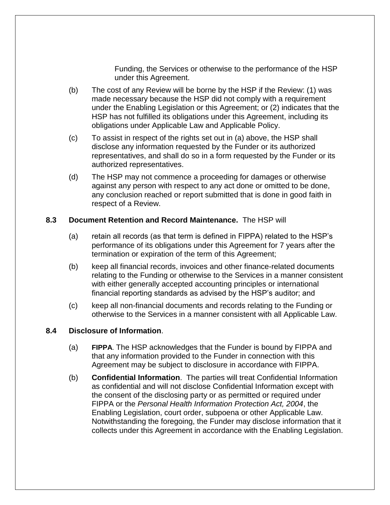Funding, the Services or otherwise to the performance of the HSP under this Agreement.

- (b) The cost of any Review will be borne by the HSP if the Review: (1) was made necessary because the HSP did not comply with a requirement under the Enabling Legislation or this Agreement; or (2) indicates that the HSP has not fulfilled its obligations under this Agreement, including its obligations under Applicable Law and Applicable Policy.
- (c) To assist in respect of the rights set out in (a) above, the HSP shall disclose any information requested by the Funder or its authorized representatives, and shall do so in a form requested by the Funder or its authorized representatives.
- (d) The HSP may not commence a proceeding for damages or otherwise against any person with respect to any act done or omitted to be done, any conclusion reached or report submitted that is done in good faith in respect of a Review.

### **8.3 Document Retention and Record Maintenance.** The HSP will

- (a) retain all records (as that term is defined in FIPPA) related to the HSP's performance of its obligations under this Agreement for 7 years after the termination or expiration of the term of this Agreement;
- (b) keep all financial records, invoices and other finance-related documents relating to the Funding or otherwise to the Services in a manner consistent with either generally accepted accounting principles or international financial reporting standards as advised by the HSP's auditor; and
- (c) keep all non-financial documents and records relating to the Funding or otherwise to the Services in a manner consistent with all Applicable Law.

## **8.4 Disclosure of Information**.

- (a) **FIPPA**. The HSP acknowledges that the Funder is bound by FIPPA and that any information provided to the Funder in connection with this Agreement may be subject to disclosure in accordance with FIPPA.
- (b) **Confidential Information**. The parties will treat Confidential Information as confidential and will not disclose Confidential Information except with the consent of the disclosing party or as permitted or required under FIPPA or the *Personal Health Information Protection Act, 2004*, the Enabling Legislation, court order, subpoena or other Applicable Law. Notwithstanding the foregoing, the Funder may disclose information that it collects under this Agreement in accordance with the Enabling Legislation.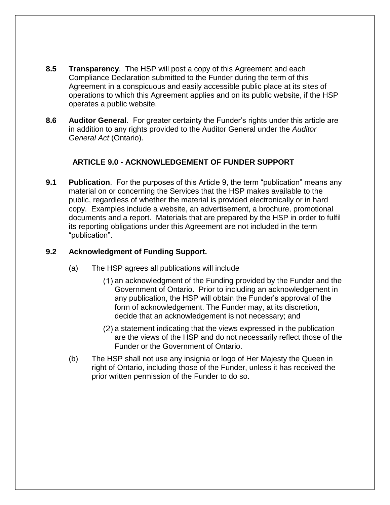- **8.5 Transparency**.The HSP will post a copy of this Agreement and each Compliance Declaration submitted to the Funder during the term of this Agreement in a conspicuous and easily accessible public place at its sites of operations to which this Agreement applies and on its public website, if the HSP operates a public website.
- **8.6 Auditor General**. For greater certainty the Funder's rights under this article are in addition to any rights provided to the Auditor General under the *Auditor General Act* (Ontario).

# **ARTICLE 9.0 - ACKNOWLEDGEMENT OF FUNDER SUPPORT**

**9.1 Publication**.For the purposes of this Article 9, the term "publication" means any material on or concerning the Services that the HSP makes available to the public, regardless of whether the material is provided electronically or in hard copy. Examples include a website, an advertisement, a brochure, promotional documents and a report.Materials that are prepared by the HSP in order to fulfil its reporting obligations under this Agreement are not included in the term "publication".

# **9.2 Acknowledgment of Funding Support.**

- (a) The HSP agrees all publications will include
	- (1) an acknowledgment of the Funding provided by the Funder and the Government of Ontario. Prior to including an acknowledgement in any publication, the HSP will obtain the Funder's approval of the form of acknowledgement. The Funder may, at its discretion, decide that an acknowledgement is not necessary; and
	- (2) a statement indicating that the views expressed in the publication are the views of the HSP and do not necessarily reflect those of the Funder or the Government of Ontario.
- (b) The HSP shall not use any insignia or logo of Her Majesty the Queen in right of Ontario, including those of the Funder, unless it has received the prior written permission of the Funder to do so.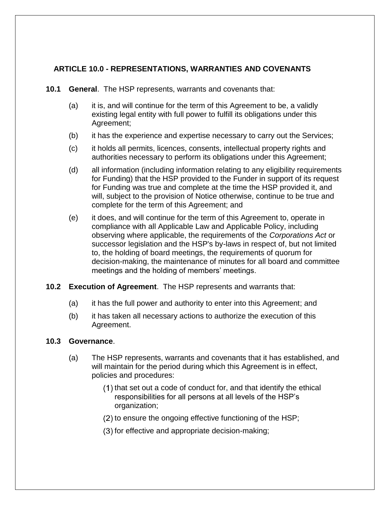# **ARTICLE 10.0 - REPRESENTATIONS, WARRANTIES AND COVENANTS**

- **10.1 General**.The HSP represents, warrants and covenants that:
	- (a) it is, and will continue for the term of this Agreement to be, a validly existing legal entity with full power to fulfill its obligations under this Agreement;
	- (b) it has the experience and expertise necessary to carry out the Services;
	- (c) it holds all permits, licences, consents, intellectual property rights and authorities necessary to perform its obligations under this Agreement;
	- (d) all information (including information relating to any eligibility requirements for Funding) that the HSP provided to the Funder in support of its request for Funding was true and complete at the time the HSP provided it, and will, subject to the provision of Notice otherwise, continue to be true and complete for the term of this Agreement; and
	- (e) it does, and will continue for the term of this Agreement to, operate in compliance with all Applicable Law and Applicable Policy, including observing where applicable, the requirements of the *Corporations Act* or successor legislation and the HSP's by-laws in respect of, but not limited to, the holding of board meetings, the requirements of quorum for decision-making, the maintenance of minutes for all board and committee meetings and the holding of members' meetings.

#### **10.2 Execution of Agreement**. The HSP represents and warrants that:

- (a) it has the full power and authority to enter into this Agreement; and
- (b) it has taken all necessary actions to authorize the execution of this Agreement.

#### **10.3 Governance**.

- (a) The HSP represents, warrants and covenants that it has established, and will maintain for the period during which this Agreement is in effect, policies and procedures:
	- $(1)$  that set out a code of conduct for, and that identify the ethical responsibilities for all persons at all levels of the HSP's organization;
	- $(2)$  to ensure the ongoing effective functioning of the HSP;
	- $(3)$  for effective and appropriate decision-making;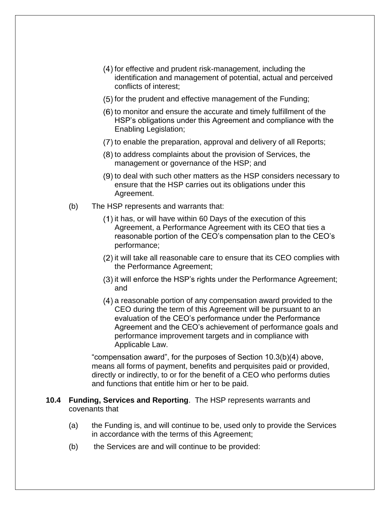- (4) for effective and prudent risk-management, including the identification and management of potential, actual and perceived conflicts of interest;
- $(5)$  for the prudent and effective management of the Funding;
- $(6)$  to monitor and ensure the accurate and timely fulfillment of the HSP's obligations under this Agreement and compliance with the Enabling Legislation;
- (7) to enable the preparation, approval and delivery of all Reports;
- $(8)$  to address complaints about the provision of Services, the management or governance of the HSP; and
- $(9)$  to deal with such other matters as the HSP considers necessary to ensure that the HSP carries out its obligations under this Agreement.
- (b) The HSP represents and warrants that:
	- $(1)$  it has, or will have within 60 Days of the execution of this Agreement, a Performance Agreement with its CEO that ties a reasonable portion of the CEO's compensation plan to the CEO's performance;
	- (2) it will take all reasonable care to ensure that its CEO complies with the Performance Agreement;
	- (3) it will enforce the HSP's rights under the Performance Agreement; and
	- a reasonable portion of any compensation award provided to the CEO during the term of this Agreement will be pursuant to an evaluation of the CEO's performance under the Performance Agreement and the CEO's achievement of performance goals and performance improvement targets and in compliance with Applicable Law.

"compensation award", for the purposes of Section 10.3(b)(4) above, means all forms of payment, benefits and perquisites paid or provided, directly or indirectly, to or for the benefit of a CEO who performs duties and functions that entitle him or her to be paid.

- **10.4 Funding, Services and Reporting**. The HSP represents warrants and covenants that
	- (a) the Funding is, and will continue to be, used only to provide the Services in accordance with the terms of this Agreement;
	- (b) the Services are and will continue to be provided: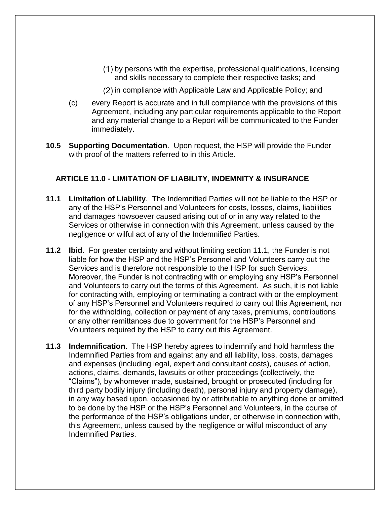- by persons with the expertise, professional qualifications, licensing and skills necessary to complete their respective tasks; and
- (2) in compliance with Applicable Law and Applicable Policy; and
- (c) every Report is accurate and in full compliance with the provisions of this Agreement, including any particular requirements applicable to the Report and any material change to a Report will be communicated to the Funder immediately.
- **10.5 Supporting Documentation**. Upon request, the HSP will provide the Funder with proof of the matters referred to in this Article.

## **ARTICLE 11.0 - LIMITATION OF LIABILITY, INDEMNITY & INSURANCE**

- **11.1 Limitation of Liability**. The Indemnified Parties will not be liable to the HSP or any of the HSP's Personnel and Volunteers for costs, losses, claims, liabilities and damages howsoever caused arising out of or in any way related to the Services or otherwise in connection with this Agreement, unless caused by the negligence or wilful act of any of the Indemnified Parties.
- **11.2 Ibid**. For greater certainty and without limiting section 11.1, the Funder is not liable for how the HSP and the HSP's Personnel and Volunteers carry out the Services and is therefore not responsible to the HSP for such Services. Moreover, the Funder is not contracting with or employing any HSP's Personnel and Volunteers to carry out the terms of this Agreement. As such, it is not liable for contracting with, employing or terminating a contract with or the employment of any HSP's Personnel and Volunteers required to carry out this Agreement, nor for the withholding, collection or payment of any taxes, premiums, contributions or any other remittances due to government for the HSP's Personnel and Volunteers required by the HSP to carry out this Agreement.
- **11.3 Indemnification**. The HSP hereby agrees to indemnify and hold harmless the Indemnified Parties from and against any and all liability, loss, costs, damages and expenses (including legal, expert and consultant costs), causes of action, actions, claims, demands, lawsuits or other proceedings (collectively, the "Claims"), by whomever made, sustained, brought or prosecuted (including for third party bodily injury (including death), personal injury and property damage), in any way based upon, occasioned by or attributable to anything done or omitted to be done by the HSP or the HSP's Personnel and Volunteers, in the course of the performance of the HSP's obligations under, or otherwise in connection with, this Agreement, unless caused by the negligence or wilful misconduct of any Indemnified Parties.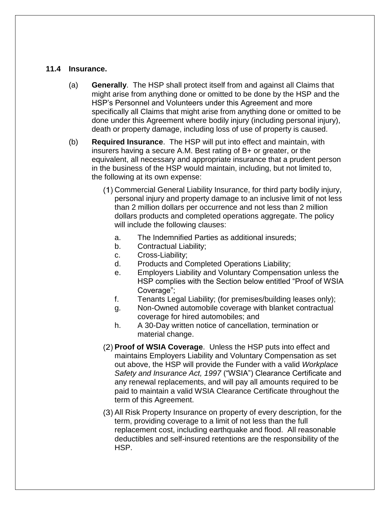#### **11.4 Insurance.**

- (a) **Generally**. The HSP shall protect itself from and against all Claims that might arise from anything done or omitted to be done by the HSP and the HSP's Personnel and Volunteers under this Agreement and more specifically all Claims that might arise from anything done or omitted to be done under this Agreement where bodily injury (including personal injury), death or property damage, including loss of use of property is caused.
- (b) **Required Insurance**. The HSP will put into effect and maintain, with insurers having a secure A.M. Best rating of B+ or greater, or the equivalent, all necessary and appropriate insurance that a prudent person in the business of the HSP would maintain, including, but not limited to, the following at its own expense:
	- Commercial General Liability Insurance, for third party bodily injury, personal injury and property damage to an inclusive limit of not less than 2 million dollars per occurrence and not less than 2 million dollars products and completed operations aggregate. The policy will include the following clauses:
		- a. The Indemnified Parties as additional insureds;
		- b. Contractual Liability;
		- c. Cross-Liability;
		- d. Products and Completed Operations Liability;
		- e. Employers Liability and Voluntary Compensation unless the HSP complies with the Section below entitled "Proof of WSIA Coverage";
		- f. Tenants Legal Liability; (for premises/building leases only);
		- g. Non-Owned automobile coverage with blanket contractual coverage for hired automobiles; and
		- h. A 30-Day written notice of cancellation, termination or material change.
	- **Proof of WSIA Coverage**. Unless the HSP puts into effect and maintains Employers Liability and Voluntary Compensation as set out above, the HSP will provide the Funder with a valid *Workplace Safety and Insurance Act, 1997* ("WSIA") Clearance Certificate and any renewal replacements, and will pay all amounts required to be paid to maintain a valid WSIA Clearance Certificate throughout the term of this Agreement.
	- All Risk Property Insurance on property of every description, for the term, providing coverage to a limit of not less than the full replacement cost, including earthquake and flood. All reasonable deductibles and self-insured retentions are the responsibility of the HSP.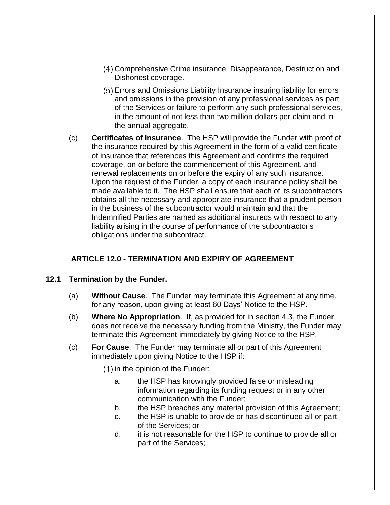- Comprehensive Crime insurance, Disappearance, Destruction and Dishonest coverage.
- Errors and Omissions Liability Insurance insuring liability for errors and omissions in the provision of any professional services as part of the Services or failure to perform any such professional services, in the amount of not less than two million dollars per claim and in the annual aggregate.
- (c) **Certificates of Insurance**.The HSP will provide the Funder with proof of the insurance required by this Agreement in the form of a valid certificate of insurance that references this Agreement and confirms the required coverage, on or before the commencement of this Agreement, and renewal replacements on or before the expiry of any such insurance. Upon the request of the Funder, a copy of each insurance policy shall be made available to it. The HSP shall ensure that each of its subcontractors obtains all the necessary and appropriate insurance that a prudent person in the business of the subcontractor would maintain and that the Indemnified Parties are named as additional insureds with respect to any liability arising in the course of performance of the subcontractor's obligations under the subcontract.

# **ARTICLE 12.0 - TERMINATION AND EXPIRY OF AGREEMENT**

#### **12.1 Termination by the Funder.**

- (a) **Without Cause**.The Funder may terminate this Agreement at any time, for any reason, upon giving at least 60 Days' Notice to the HSP.
- (b) **Where No Appropriation**. If, as provided for in section 4.3, the Funder does not receive the necessary funding from the Ministry, the Funder may terminate this Agreement immediately by giving Notice to the HSP.
- (c) **For Cause**. The Funder may terminate all or part of this Agreement immediately upon giving Notice to the HSP if:
	- $(1)$  in the opinion of the Funder:
		- a. the HSP has knowingly provided false or misleading information regarding its funding request or in any other communication with the Funder;
		- b. the HSP breaches any material provision of this Agreement;
		- c. the HSP is unable to provide or has discontinued all or part of the Services; or
		- d. it is not reasonable for the HSP to continue to provide all or part of the Services;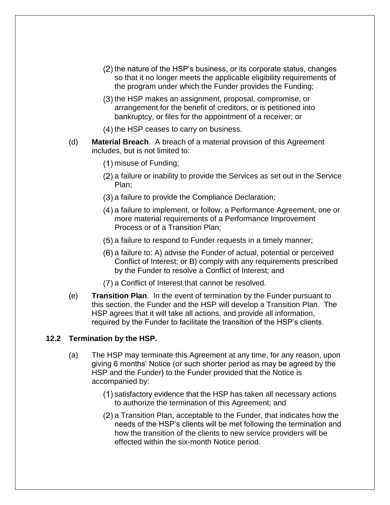- $(2)$  the nature of the HSP's business, or its corporate status, changes so that it no longer meets the applicable eligibility requirements of the program under which the Funder provides the Funding;
- $(3)$  the HSP makes an assignment, proposal, compromise, or arrangement for the benefit of creditors, or is petitioned into bankruptcy, or files for the appointment of a receiver; or
- $(4)$  the HSP ceases to carry on business.
- (d) **Material Breach**. A breach of a material provision of this Agreement includes, but is not limited to:
	- (1) misuse of Funding;
	- a failure or inability to provide the Services as set out in the Service Plan;
	- (3) a failure to provide the Compliance Declaration;
	- a failure to implement, or follow, a Performance Agreement, one or more material requirements of a Performance Improvement Process or of a Transition Plan;
	- (5) a failure to respond to Funder requests in a timely manner;
	- $(6)$  a failure to: A) advise the Funder of actual, potential or perceived Conflict of Interest; or B) comply with any requirements prescribed by the Funder to resolve a Conflict of Interest; and
	- (7) a Conflict of Interest that cannot be resolved.
- (e) **Transition Plan**. In the event of termination by the Funder pursuant to this section, the Funder and the HSP will develop a Transition Plan. The HSP agrees that it will take all actions, and provide all information, required by the Funder to facilitate the transition of the HSP's clients.

#### **12.2 Termination by the HSP.**

- (a) The HSP may terminate this Agreement at any time, for any reason, upon giving 6 months' Notice (or such shorter period as may be agreed by the HSP and the Funder) to the Funder provided that the Notice is accompanied by:
	- (1) satisfactory evidence that the HSP has taken all necessary actions to authorize the termination of this Agreement; and
	- (2) a Transition Plan, acceptable to the Funder, that indicates how the needs of the HSP's clients will be met following the termination and how the transition of the clients to new service providers will be effected within the six-month Notice period.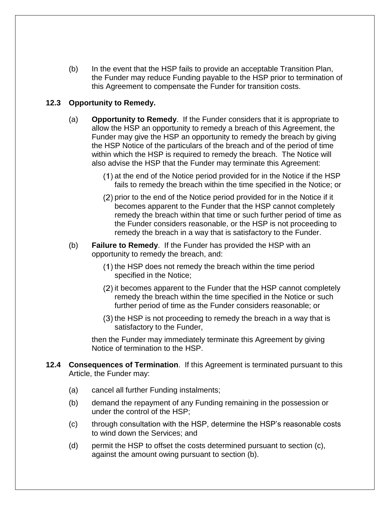(b) In the event that the HSP fails to provide an acceptable Transition Plan, the Funder may reduce Funding payable to the HSP prior to termination of this Agreement to compensate the Funder for transition costs.

### **12.3 Opportunity to Remedy.**

- (a) **Opportunity to Remedy**. If the Funder considers that it is appropriate to allow the HSP an opportunity to remedy a breach of this Agreement, the Funder may give the HSP an opportunity to remedy the breach by giving the HSP Notice of the particulars of the breach and of the period of time within which the HSP is required to remedy the breach. The Notice will also advise the HSP that the Funder may terminate this Agreement:
	- $(1)$  at the end of the Notice period provided for in the Notice if the HSP fails to remedy the breach within the time specified in the Notice; or
	- (2) prior to the end of the Notice period provided for in the Notice if it becomes apparent to the Funder that the HSP cannot completely remedy the breach within that time or such further period of time as the Funder considers reasonable, or the HSP is not proceeding to remedy the breach in a way that is satisfactory to the Funder.
- (b) **Failure to Remedy**. If the Funder has provided the HSP with an opportunity to remedy the breach, and:
	- $(1)$  the HSP does not remedy the breach within the time period specified in the Notice;
	- (2) it becomes apparent to the Funder that the HSP cannot completely remedy the breach within the time specified in the Notice or such further period of time as the Funder considers reasonable; or
	- $(3)$  the HSP is not proceeding to remedy the breach in a way that is satisfactory to the Funder,

then the Funder may immediately terminate this Agreement by giving Notice of termination to the HSP.

- **12.4 Consequences of Termination**. If this Agreement is terminated pursuant to this Article, the Funder may:
	- (a) cancel all further Funding instalments;
	- (b) demand the repayment of any Funding remaining in the possession or under the control of the HSP;
	- (c) through consultation with the HSP, determine the HSP's reasonable costs to wind down the Services; and
	- (d) permit the HSP to offset the costs determined pursuant to section (c), against the amount owing pursuant to section (b).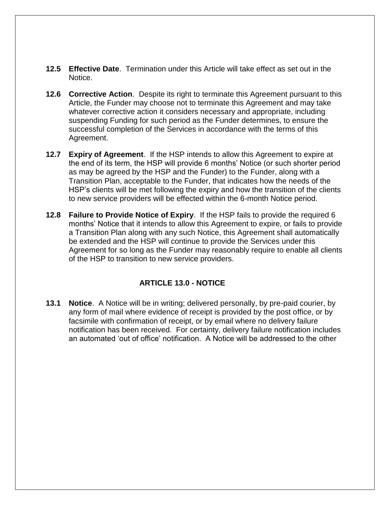- **12.5 Effective Date**. Termination under this Article will take effect as set out in the Notice.
- **12.6 Corrective Action**.Despite its right to terminate this Agreement pursuant to this Article, the Funder may choose not to terminate this Agreement and may take whatever corrective action it considers necessary and appropriate, including suspending Funding for such period as the Funder determines, to ensure the successful completion of the Services in accordance with the terms of this Agreement.
- **12.7 Expiry of Agreement**.If the HSP intends to allow this Agreement to expire at the end of its term, the HSP will provide 6 months' Notice (or such shorter period as may be agreed by the HSP and the Funder) to the Funder, along with a Transition Plan, acceptable to the Funder, that indicates how the needs of the HSP's clients will be met following the expiry and how the transition of the clients to new service providers will be effected within the 6-month Notice period.
- **12.8 Failure to Provide Notice of Expiry**. If the HSP fails to provide the required 6 months' Notice that it intends to allow this Agreement to expire, or fails to provide a Transition Plan along with any such Notice, this Agreement shall automatically be extended and the HSP will continue to provide the Services under this Agreement for so long as the Funder may reasonably require to enable all clients of the HSP to transition to new service providers.

## **ARTICLE 13.0 - NOTICE**

**13.1 Notice**. A Notice will be in writing; delivered personally, by pre-paid courier, by any form of mail where evidence of receipt is provided by the post office, or by facsimile with confirmation of receipt, or by email where no delivery failure notification has been received. For certainty, delivery failure notification includes an automated 'out of office' notification. A Notice will be addressed to the other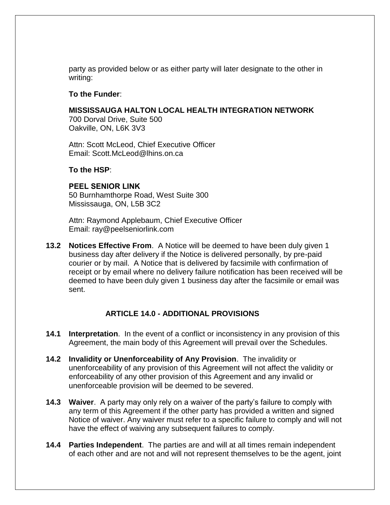party as provided below or as either party will later designate to the other in writing:

### **To the Funder**:

### **MISSISSAUGA HALTON LOCAL HEALTH INTEGRATION NETWORK**

700 Dorval Drive, Suite 500 Oakville, ON, L6K 3V3

Attn: Scott McLeod, Chief Executive Officer Email: Scott.McLeod@lhins.on.ca

### **To the HSP**:

#### **PEEL SENIOR LINK**

50 Burnhamthorpe Road, West Suite 300 Mississauga, ON, L5B 3C2

Attn: Raymond Applebaum, Chief Executive Officer Email: ray@peelseniorlink.com

**13.2 Notices Effective From**. A Notice will be deemed to have been duly given 1 business day after delivery if the Notice is delivered personally, by pre-paid courier or by mail. A Notice that is delivered by facsimile with confirmation of receipt or by email where no delivery failure notification has been received will be deemed to have been duly given 1 business day after the facsimile or email was sent.

## **ARTICLE 14.0 - ADDITIONAL PROVISIONS**

- **14.1 Interpretation**. In the event of a conflict or inconsistency in any provision of this Agreement, the main body of this Agreement will prevail over the Schedules.
- **14.2 Invalidity or Unenforceability of Any Provision**. The invalidity or unenforceability of any provision of this Agreement will not affect the validity or enforceability of any other provision of this Agreement and any invalid or unenforceable provision will be deemed to be severed.
- **14.3 Waiver**. A party may only rely on a waiver of the party's failure to comply with any term of this Agreement if the other party has provided a written and signed Notice of waiver. Any waiver must refer to a specific failure to comply and will not have the effect of waiving any subsequent failures to comply.
- **14.4 Parties Independent**. The parties are and will at all times remain independent of each other and are not and will not represent themselves to be the agent, joint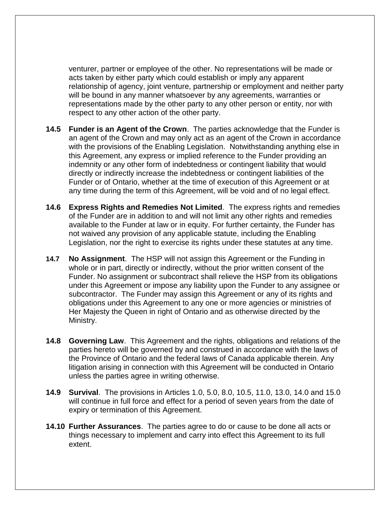venturer, partner or employee of the other. No representations will be made or acts taken by either party which could establish or imply any apparent relationship of agency, joint venture, partnership or employment and neither party will be bound in any manner whatsoever by any agreements, warranties or representations made by the other party to any other person or entity, nor with respect to any other action of the other party.

- **14.5 Funder is an Agent of the Crown**. The parties acknowledge that the Funder is an agent of the Crown and may only act as an agent of the Crown in accordance with the provisions of the Enabling Legislation. Notwithstanding anything else in this Agreement, any express or implied reference to the Funder providing an indemnity or any other form of indebtedness or contingent liability that would directly or indirectly increase the indebtedness or contingent liabilities of the Funder or of Ontario, whether at the time of execution of this Agreement or at any time during the term of this Agreement, will be void and of no legal effect.
- **14.6 Express Rights and Remedies Not Limited**. The express rights and remedies of the Funder are in addition to and will not limit any other rights and remedies available to the Funder at law or in equity. For further certainty, the Funder has not waived any provision of any applicable statute, including the Enabling Legislation, nor the right to exercise its rights under these statutes at any time.
- **14.7 No Assignment**. The HSP will not assign this Agreement or the Funding in whole or in part, directly or indirectly, without the prior written consent of the Funder. No assignment or subcontract shall relieve the HSP from its obligations under this Agreement or impose any liability upon the Funder to any assignee or subcontractor. The Funder may assign this Agreement or any of its rights and obligations under this Agreement to any one or more agencies or ministries of Her Majesty the Queen in right of Ontario and as otherwise directed by the Ministry.
- **14.8 Governing Law**. This Agreement and the rights, obligations and relations of the parties hereto will be governed by and construed in accordance with the laws of the Province of Ontario and the federal laws of Canada applicable therein. Any litigation arising in connection with this Agreement will be conducted in Ontario unless the parties agree in writing otherwise.
- **14.9 Survival**. The provisions in Articles 1.0, 5.0, 8.0, 10.5, 11.0, 13.0, 14.0 and 15.0 will continue in full force and effect for a period of seven years from the date of expiry or termination of this Agreement.
- **14.10 Further Assurances**. The parties agree to do or cause to be done all acts or things necessary to implement and carry into effect this Agreement to its full extent.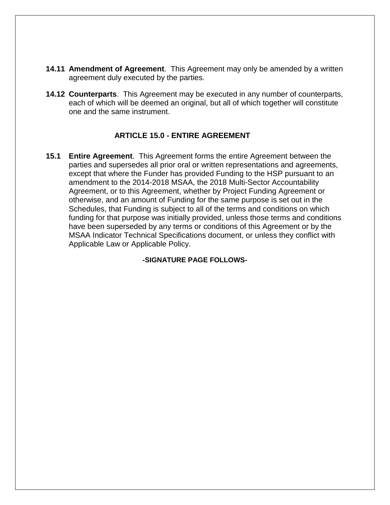- **14.11 Amendment of Agreement**. This Agreement may only be amended by a written agreement duly executed by the parties.
- **14.12 Counterparts**. This Agreement may be executed in any number of counterparts, each of which will be deemed an original, but all of which together will constitute one and the same instrument.

### **ARTICLE 15.0 - ENTIRE AGREEMENT**

**15.1 Entire Agreement**. This Agreement forms the entire Agreement between the parties and supersedes all prior oral or written representations and agreements, except that where the Funder has provided Funding to the HSP pursuant to an amendment to the 2014-2018 MSAA, the 2018 Multi-Sector Accountability Agreement, or to this Agreement, whether by Project Funding Agreement or otherwise, and an amount of Funding for the same purpose is set out in the Schedules, that Funding is subject to all of the terms and conditions on which funding for that purpose was initially provided, unless those terms and conditions have been superseded by any terms or conditions of this Agreement or by the MSAA Indicator Technical Specifications document, or unless they conflict with Applicable Law or Applicable Policy.

**-SIGNATURE PAGE FOLLOWS-**